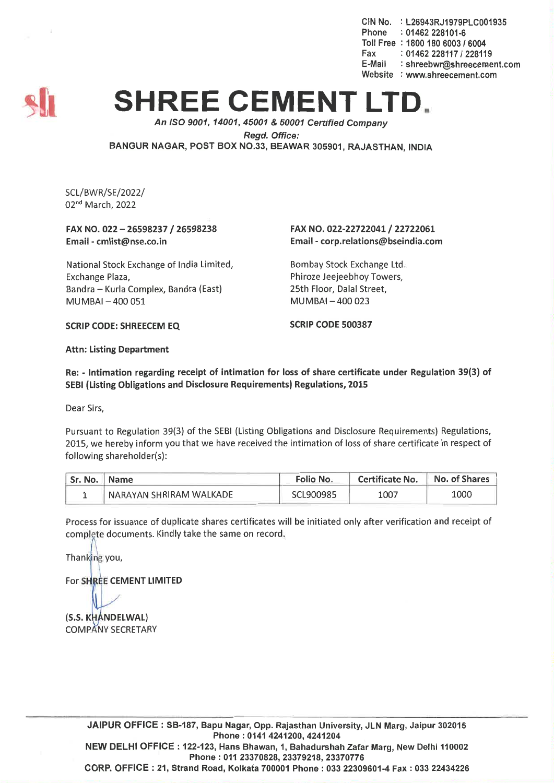CIN No. : L26943RJ1979PLC001935 Phone : 01462 228101-6 Toll Free : 1800 180 6003 *16004* Fax: *01462228117/228119* E-Mail : shreebwr@shreecement.com Website : www.shreecement.com



## **SHREE CEMENT LTD.**

*An ISO 9001, 14001,45001* & *50001 Cenified Company Regd. Office:* BANGUR NAGAR, POST BOX NO.33, BEAWAR 305901, RAJASTHAN, INDIA

SCL/BWR/SE/2022/ 02nd March, 2022

## FAX NO. 022 - 26598237 / 26598238 Email -cmlist@nse.co.in

National Stock Exchange of India Limited, Exchange Plaza, Bandra - Kurla Complex, Bandra (East) MUMBAI-400 051

## FAX NO. 022-22722041/22722061 Email -corp.relations@bseindia.com

Bombay Stock Exchange Ltd. Phiroze Jeejeebhoy Towers, 25th Floor, Dalal Street, MUMBAI-400 023

SCRIP CODE: SHREECEM EQ SCRIP CODE 500387

Attn: Listing Department

Re: - Intimation regarding receipt of intimation for loss of share certificate under Regulation 39(3) of SEBI (Listing Obligations and Disclosure Requirements) Regulations, 2015

Dear Sirs,

Pursuant to Regulation 39(3) of the SEBI (Listing Obligations and Disclosure Requirements) Regulations. 2015, we hereby inform you that we have received the intimation of loss of share certificate in respect of following shareholder(s):

| Sr. No.   Name |                         | <b>Folio No.</b> | <b>Certificate No.</b> | No. of Shares |
|----------------|-------------------------|------------------|------------------------|---------------|
|                | NARAYAN SHRIRAM WALKADE | SCL900985        | 1007                   | 1000          |

Process for issuance of duplicate shares certificates will be initiated only after verification and receipt of complete documents. Kindly take the same on record.

Thanking you,

For SHREE CEMENT LIMITED

(S.S. KHANDELWAL) COMPANY SECRETARY